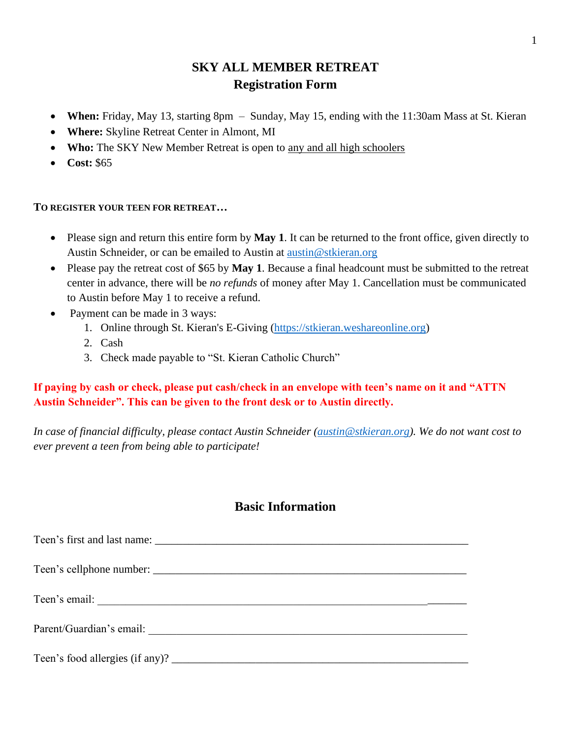# **SKY ALL MEMBER RETREAT Registration Form**

- **When:** Friday, May 13, starting 8pm Sunday, May 15, ending with the 11:30am Mass at St. Kieran
- **Where:** Skyline Retreat Center in Almont, MI
- **Who:** The SKY New Member Retreat is open to any and all high schoolers
- **Cost:** \$65

#### **TO REGISTER YOUR TEEN FOR RETREAT…**

- Please sign and return this entire form by **May 1**. It can be returned to the front office, given directly to Austin Schneider, or can be emailed to Austin at [austin@stkieran.org](mailto:austin@stkieran.org)
- Please pay the retreat cost of \$65 by **May 1**. Because a final headcount must be submitted to the retreat center in advance, there will be *no refunds* of money after May 1. Cancellation must be communicated to Austin before May 1 to receive a refund.
- Payment can be made in 3 ways:
	- 1. Online through St. Kieran's E-Giving [\(https://stkieran.weshareonline.org\)](https://stkieran.weshareonline.org/)
	- 2. Cash
	- 3. Check made payable to "St. Kieran Catholic Church"

#### **If paying by cash or check, please put cash/check in an envelope with teen's name on it and "ATTN Austin Schneider". This can be given to the front desk or to Austin directly.**

*In case of financial difficulty, please contact Austin Schneider [\(austin@stkieran.org\)](mailto:austin@stkieran.org). We do not want cost to ever prevent a teen from being able to participate!*

## **Basic Information**

Teen's first and last name: Teen's cellphone number: \_\_\_\_\_\_\_\_\_\_\_\_\_\_\_\_\_\_\_\_\_\_\_\_\_\_\_\_\_\_\_\_\_\_\_\_\_\_\_\_\_\_\_\_\_\_\_\_\_\_\_\_\_\_\_\_ Teen's email: \_\_\_\_\_\_\_\_\_\_\_\_\_\_\_\_\_\_\_\_\_\_\_\_\_\_\_\_\_\_\_\_\_\_\_\_\_\_\_\_\_\_\_\_\_\_\_\_\_\_\_\_\_\_\_\_\_\_\_\_\_\_\_\_\_\_ Parent/Guardian's email: Teen's food allergies (if any)?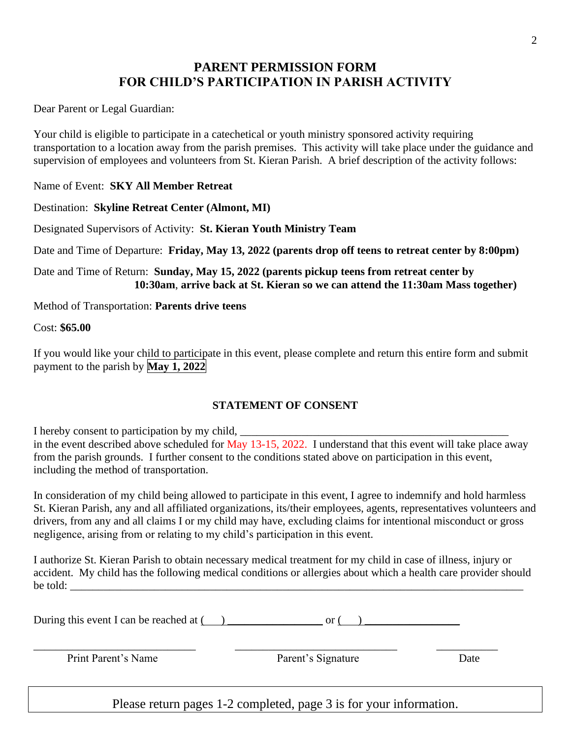## **PARENT PERMISSION FORM FOR CHILD'S PARTICIPATION IN PARISH ACTIVITY**

Dear Parent or Legal Guardian:

Your child is eligible to participate in a catechetical or youth ministry sponsored activity requiring transportation to a location away from the parish premises. This activity will take place under the guidance and supervision of employees and volunteers from St. Kieran Parish. A brief description of the activity follows:

Name of Event: **SKY All Member Retreat**

Destination: **Skyline Retreat Center (Almont, MI)**

Designated Supervisors of Activity: **St. Kieran Youth Ministry Team**

Date and Time of Departure: **Friday, May 13, 2022 (parents drop off teens to retreat center by 8:00pm)**

Date and Time of Return: **Sunday, May 15, 2022 (parents pickup teens from retreat center by 10:30am**, **arrive back at St. Kieran so we can attend the 11:30am Mass together)**

Method of Transportation: **Parents drive teens**

Cost: **\$65.00**

If you would like your child to participate in this event, please complete and return this entire form and submit payment to the parish by **May 1, 2022**

#### **STATEMENT OF CONSENT**

I hereby consent to participation by my child, in the event described above scheduled for May 13-15, 2022. I understand that this event will take place away from the parish grounds. I further consent to the conditions stated above on participation in this event, including the method of transportation.

In consideration of my child being allowed to participate in this event, I agree to indemnify and hold harmless St. Kieran Parish, any and all affiliated organizations, its/their employees, agents, representatives volunteers and drivers, from any and all claims I or my child may have, excluding claims for intentional misconduct or gross negligence, arising from or relating to my child's participation in this event.

I authorize St. Kieran Parish to obtain necessary medical treatment for my child in case of illness, injury or accident. My child has the following medical conditions or allergies about which a health care provider should be told: \_\_\_\_\_\_\_\_\_\_\_\_\_\_\_\_\_\_\_\_\_\_\_\_\_\_\_\_\_\_\_\_\_\_\_\_\_\_\_\_\_\_\_\_\_\_\_\_\_\_\_\_\_\_\_\_\_\_\_\_\_\_\_\_\_\_\_\_\_\_\_\_\_\_\_\_\_\_\_\_\_

During this event I can be reached at ( ) \_\_\_\_\_\_\_\_\_\_\_\_\_\_\_\_\_ or ( ) \_\_\_\_\_\_\_\_\_\_\_\_\_\_\_\_\_

\_\_\_\_\_\_\_\_\_\_\_\_\_\_\_\_\_\_\_\_\_\_\_\_\_\_\_\_\_ \_\_\_\_\_\_\_\_\_\_\_\_\_\_\_\_\_\_\_\_\_\_\_\_\_\_\_\_\_ \_\_\_\_\_\_\_\_\_\_\_

Print Parent's Name Parent's Signature Date

Please return pages 1-2 completed, page 3 is for your information.